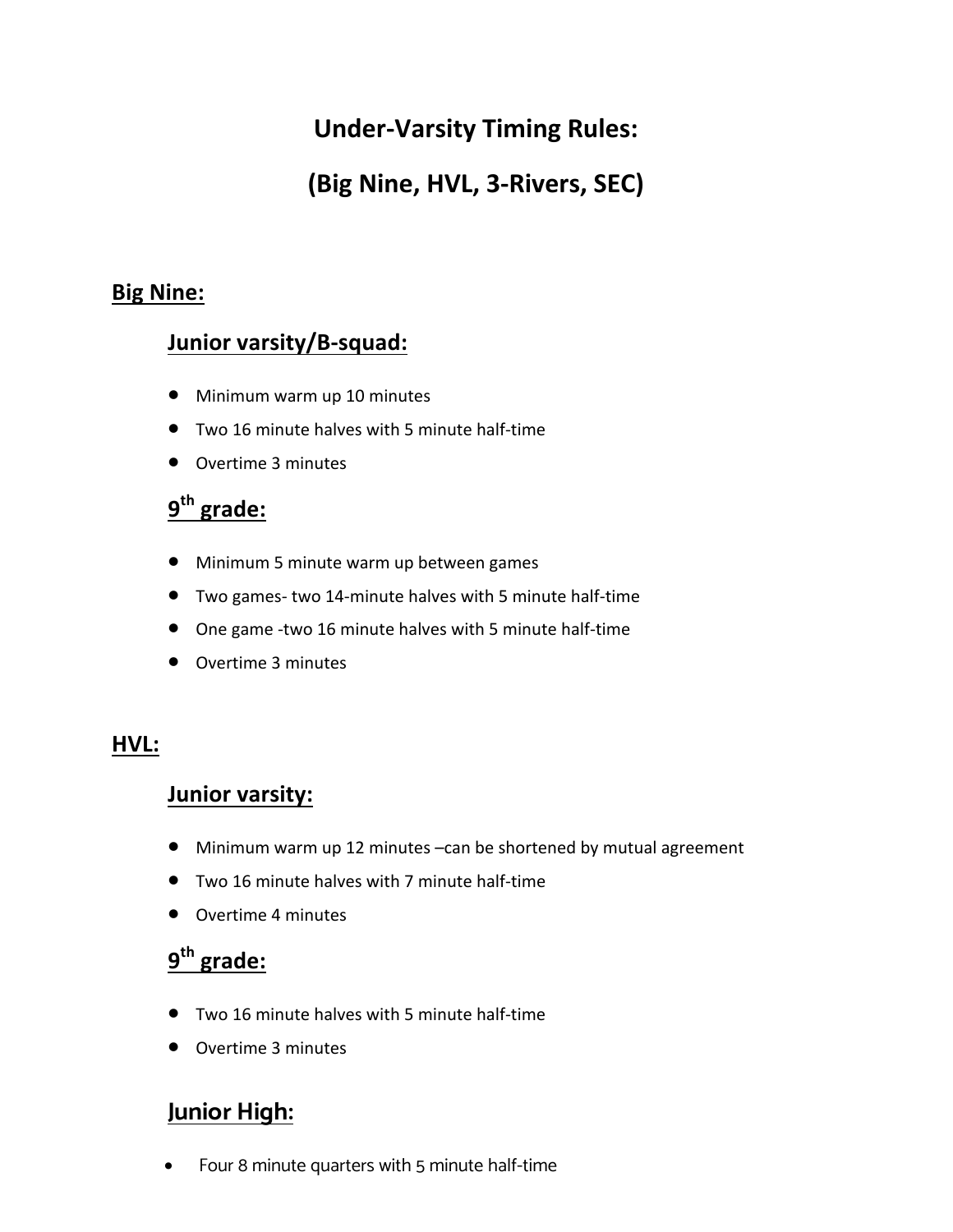# **Under-Varsity Timing Rules:**

# **(Big Nine, HVL, 3-Rivers, SEC)**

### **Big Nine:**

### **Junior varsity/B-squad:**

- Minimum warm up 10 minutes
- Two 16 minute halves with 5 minute half-time
- Overtime 3 minutes

## **9th grade:**

- Minimum 5 minute warm up between games
- Two games- two 14-minute halves with 5 minute half-time
- One game -two 16 minute halves with 5 minute half-time
- Overtime 3 minutes

### **HVL:**

#### **Junior varsity:**

- Minimum warm up 12 minutes -can be shortened by mutual agreement
- Two 16 minute halves with 7 minute half-time
- Overtime 4 minutes

# **9th grade:**

- Two 16 minute halves with 5 minute half-time
- Overtime 3 minutes

## **Junior High:**

• Four 8 minute quarters with 5 minute half-time